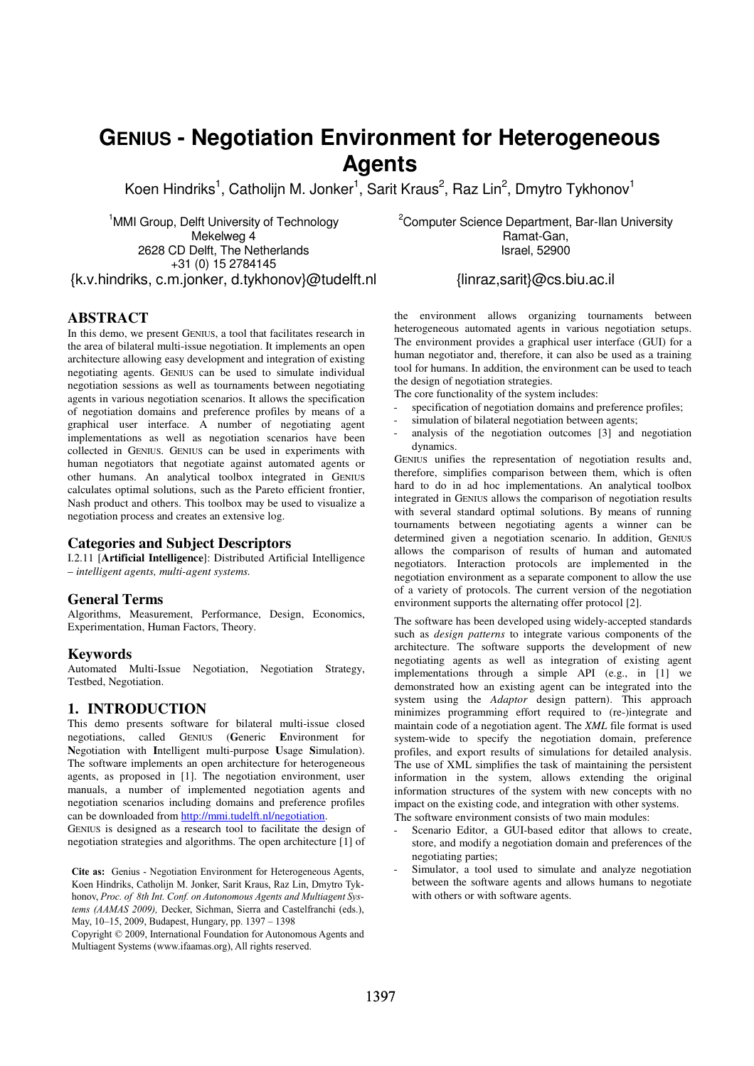# **GENIUS - Negotiation Environment for Heterogeneous Agents**

Koen Hindriks<sup>1</sup>, Catholijn M. Jonker<sup>1</sup>, Sarit Kraus<sup>2</sup>, Raz Lin<sup>2</sup>, Dmytro Tykhonov<sup>1</sup>

<sup>1</sup>MMI Group, Delft University of Technology Mekelweg 4 2628 CD Delft, The Netherlands +31 (0) 15 2784145

<sup>2</sup>Computer Science Department, Bar-Ilan University Ramat-Gan, Israel, 52900

{linraz,sarit}@cs.biu.ac.il

## {k.v.hindriks, c.m.jonker, d.tykhonov}@tudelft.nl

## **ABSTRACT**

In this demo, we present GENIUS, a tool that facilitates research in the area of bilateral multi-issue negotiation. It implements an open architecture allowing easy development and integration of existing negotiating agents. GENIUS can be used to simulate individual negotiation sessions as well as tournaments between negotiating agents in various negotiation scenarios. It allows the specification of negotiation domains and preference profiles by means of a graphical user interface. A number of negotiating agent implementations as well as negotiation scenarios have been collected in GENIUS. GENIUS can be used in experiments with human negotiators that negotiate against automated agents or other humans. An analytical toolbox integrated in GENIUS calculates optimal solutions, such as the Pareto efficient frontier, Nash product and others. This toolbox may be used to visualize a negotiation process and creates an extensive log.

## **Categories and Subject Descriptors**

I.2.11 [**Artificial Intelligence**]: Distributed Artificial Intelligence – *intelligent agents, multi-agent systems.* 

## **General Terms**

Algorithms, Measurement, Performance, Design, Economics, Experimentation, Human Factors, Theory.

## **Keywords**

Automated Multi-Issue Negotiation, Negotiation Strategy, Testbed, Negotiation.

## **1. INTRODUCTION**

This demo presents software for bilateral multi-issue closed negotiations, called GENIUS (**G**eneric **E**nvironment for **N**egotiation with **I**ntelligent multi-purpose **U**sage **S**imulation). The software implements an open architecture for heterogeneous agents, as proposed in [1]. The negotiation environment, user manuals, a number of implemented negotiation agents and negotiation scenarios including domains and preference profiles can be downloaded from http://mmi.tudelft.nl/negotiation.

GENIUS is designed as a research tool to facilitate the design of negotiation strategies and algorithms. The open architecture [1] of

**Cite as:** Genius - Negotiation Environment for Heterogeneous Agents, Koen Hindriks, Catholijn M. Jonker, Sarit Kraus, Raz Lin, Dmytro Koen Hindriks, Catholijn M. Jonker, Sarit Kraus, Raz Lin, Dmytro Tykhonov, Proc. of 8th Int. Conf. on Autonomous Agents and Multiagent Systems (AAMAS 2009), Decker, Sichman, Sierra and Castelfranchi (eds.), May, 10–15, 2009, Budapest, Hungary, pp. 1397 – 1398

Copyright © 2009, International Foundation for Autonomous Agents and Multiagent Systems (www.ifaamas.org), All rights reserved.

the environment allows organizing tournaments between heterogeneous automated agents in various negotiation setups. The environment provides a graphical user interface (GUI) for a human negotiator and, therefore, it can also be used as a training tool for humans. In addition, the environment can be used to teach

the design of negotiation strategies. The core functionality of the system includes:

- specification of negotiation domains and preference profiles;
- simulation of bilateral negotiation between agents;
- analysis of the negotiation outcomes [3] and negotiation dynamics.

GENIUS unifies the representation of negotiation results and, therefore, simplifies comparison between them, which is often hard to do in ad hoc implementations. An analytical toolbox integrated in GENIUS allows the comparison of negotiation results with several standard optimal solutions. By means of running tournaments between negotiating agents a winner can be determined given a negotiation scenario. In addition, GENIUS allows the comparison of results of human and automated negotiators. Interaction protocols are implemented in the negotiation environment as a separate component to allow the use of a variety of protocols. The current version of the negotiation environment supports the alternating offer protocol [2].

The software has been developed using widely-accepted standards such as *design patterns* to integrate various components of the architecture. The software supports the development of new negotiating agents as well as integration of existing agent implementations through a simple API (e.g., in [1] we demonstrated how an existing agent can be integrated into the system using the *Adaptor* design pattern). This approach minimizes programming effort required to (re-)integrate and maintain code of a negotiation agent. The *XML* file format is used system-wide to specify the negotiation domain, preference profiles, and export results of simulations for detailed analysis. The use of XML simplifies the task of maintaining the persistent information in the system, allows extending the original information structures of the system with new concepts with no impact on the existing code, and integration with other systems. The software environment consists of two main modules:

- Scenario Editor, a GUI-based editor that allows to create, store, and modify a negotiation domain and preferences of the negotiating parties;
- Simulator, a tool used to simulate and analyze negotiation between the software agents and allows humans to negotiate with others or with software agents.